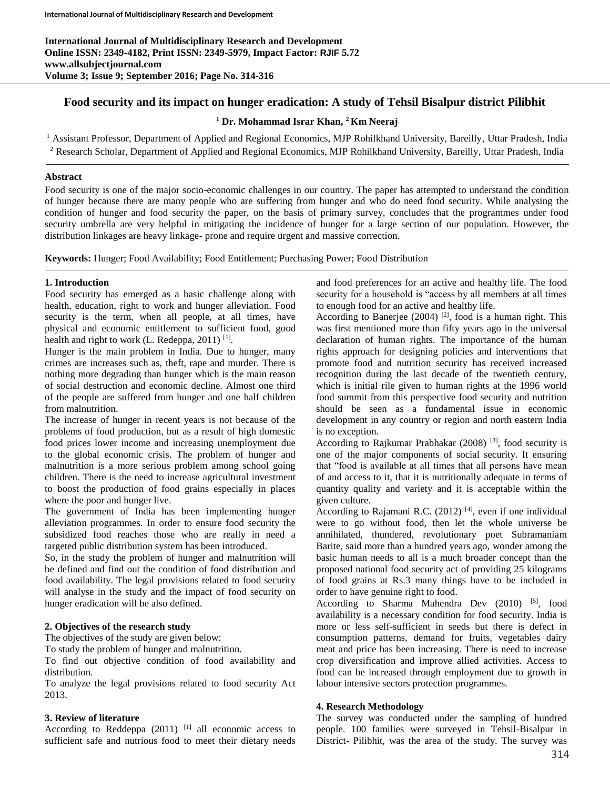**International Journal of Multidisciplinary Research and Development Online ISSN: 2349-4182, Print ISSN: 2349-5979, Impact Factor: RJIF 5.72 www.allsubjectjournal.com Volume 3; Issue 9; September 2016; Page No. 314-316**

# **Food security and its impact on hunger eradication: A study of Tehsil Bisalpur district Pilibhit**

**<sup>1</sup> Dr. Mohammad Israr Khan, <sup>2</sup>Km Neeraj** 

<sup>1</sup> Assistant Professor, Department of Applied and Regional Economics, MJP Rohilkhand University, Bareilly, Uttar Pradesh, India <sup>2</sup> Research Scholar, Department of Applied and Regional Economics, MJP Rohilkhand University, Bareilly, Uttar Pradesh, India

#### **Abstract**

Food security is one of the major socio-economic challenges in our country. The paper has attempted to understand the condition of hunger because there are many people who are suffering from hunger and who do need food security. While analysing the condition of hunger and food security the paper, on the basis of primary survey, concludes that the programmes under food security umbrella are very helpful in mitigating the incidence of hunger for a large section of our population. However, the distribution linkages are heavy linkage- prone and require urgent and massive correction.

**Keywords:** Hunger; Food Availability; Food Entitlement; Purchasing Power; Food Distribution

#### **1. Introduction**

Food security has emerged as a basic challenge along with health, education, right to work and hunger alleviation. Food security is the term, when all people, at all times, have physical and economic entitlement to sufficient food, good health and right to work (L. Redeppa, 2011)<sup>[1]</sup>.

Hunger is the main problem in India. Due to hunger, many crimes are increases such as, theft, rape and murder. There is nothing more degrading than hunger which is the main reason of social destruction and economic decline. Almost one third of the people are suffered from hunger and one half children from malnutrition.

The increase of hunger in recent years is not because of the problems of food production, but as a result of high domestic food prices lower income and increasing unemployment due to the global economic crisis. The problem of hunger and malnutrition is a more serious problem among school going children. There is the need to increase agricultural investment to boost the production of food grains especially in places where the poor and hunger live.

The government of India has been implementing hunger alleviation programmes. In order to ensure food security the subsidized food reaches those who are really in need a targeted public distribution system has been introduced.

So, in the study the problem of hunger and malnutrition will be defined and find out the condition of food distribution and food availability. The legal provisions related to food security will analyse in the study and the impact of food security on hunger eradication will be also defined.

### **2. Objectives of the research study**

The objectives of the study are given below:

To study the problem of hunger and malnutrition.

To find out objective condition of food availability and distribution.

To analyze the legal provisions related to food security Act 2013.

#### **3. Review of literature**

According to Reddeppa  $(2011)$ <sup>[1]</sup> all economic access to sufficient safe and nutrious food to meet their dietary needs

and food preferences for an active and healthy life. The food security for a household is "access by all members at all times to enough food for an active and healthy life.

According to Banerjee (2004)  $[2]$ , food is a human right. This was first mentioned more than fifty years ago in the universal declaration of human rights. The importance of the human rights approach for designing policies and interventions that promote food and nutrition security has received increased recognition during the last decade of the twentieth century, which is initial rile given to human rights at the 1996 world food summit from this perspective food security and nutrition should be seen as a fundamental issue in economic development in any country or region and north eastern India is no exception.

According to Rajkumar Prabhakar (2008)<sup>[3]</sup>, food security is one of the major components of social security. It ensuring that "food is available at all times that all persons have mean of and access to it, that it is nutritionally adequate in terms of quantity quality and variety and it is acceptable within the given culture.

According to Rajamani R.C.  $(2012)$  [4], even if one individual were to go without food, then let the whole universe be annihilated, thundered, revolutionary poet Subramaniam Barite, said more than a hundred years ago, wonder among the basic human needs to all is a much broader concept than the proposed national food security act of providing 25 kilograms of food grains at Rs.3 many things have to be included in order to have genuine right to food.

According to Sharma Mahendra Dev (2010) [5], food availability is a necessary condition for food security. India is more or less self-sufficient in seeds but there is defect in consumption patterns, demand for fruits, vegetables dairy meat and price has been increasing. There is need to increase crop diversification and improve allied activities. Access to food can be increased through employment due to growth in labour intensive sectors protection programmes.

### **4. Research Methodology**

The survey was conducted under the sampling of hundred people. 100 families were surveyed in Tehsil-Bisalpur in District- Pilibhit, was the area of the study. The survey was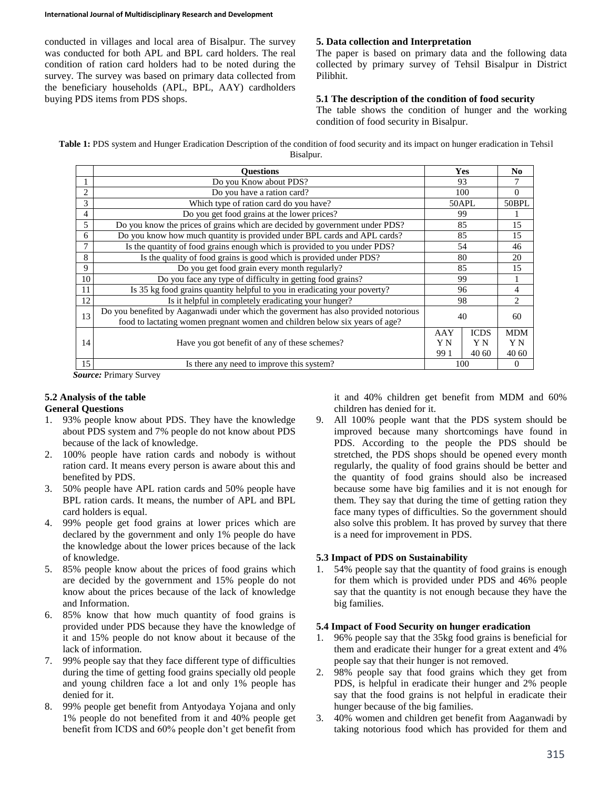conducted in villages and local area of Bisalpur. The survey was conducted for both APL and BPL card holders. The real condition of ration card holders had to be noted during the survey. The survey was based on primary data collected from the beneficiary households (APL, BPL, AAY) cardholders buying PDS items from PDS shops.

# **5. Data collection and Interpretation**

The paper is based on primary data and the following data collected by primary survey of Tehsil Bisalpur in District Pilibhit.

# **5.1 The description of the condition of food security**

The table shows the condition of hunger and the working condition of food security in Bisalpur.

Table 1: PDS system and Hunger Eradication Description of the condition of food security and its impact on hunger eradication in Tehsil Bisalpur.

|                | <b>Ouestions</b>                                                                                                                                                   | Yes              |                             | N <sub>0</sub>             |
|----------------|--------------------------------------------------------------------------------------------------------------------------------------------------------------------|------------------|-----------------------------|----------------------------|
|                | Do you Know about PDS?                                                                                                                                             | 93               |                             |                            |
| 2              | Do you have a ration card?                                                                                                                                         | 100              |                             | $\overline{0}$             |
| 3              | Which type of ration card do you have?                                                                                                                             | 50APL            |                             | 50BPL                      |
| $\overline{4}$ | Do you get food grains at the lower prices?                                                                                                                        | 99               |                             |                            |
| 5              | Do you know the prices of grains which are decided by government under PDS?                                                                                        | 85               |                             | 15                         |
| 6              | Do you know how much quantity is provided under BPL cards and APL cards?                                                                                           | 85               |                             | 15                         |
| 7              | Is the quantity of food grains enough which is provided to you under PDS?                                                                                          | 54               |                             | 46                         |
| 8              | Is the quality of food grains is good which is provided under PDS?                                                                                                 | 80               |                             | 20                         |
| 9              | Do you get food grain every month regularly?                                                                                                                       | 85               |                             | 15                         |
| 10             | Do you face any type of difficulty in getting food grains?                                                                                                         | 99               |                             |                            |
| 11             | Is 35 kg food grains quantity helpful to you in eradicating your poverty?                                                                                          | 96               |                             | 4                          |
| 12             | Is it helpful in completely eradicating your hunger?                                                                                                               | 98               |                             | 2                          |
| 13             | Do you benefited by Aaganwadi under which the governent has also provided notorious<br>food to lactating women pregnant women and children below six years of age? | 40               |                             | 60                         |
| 14             | Have you got benefit of any of these schemes?                                                                                                                      | AAY<br>ΥN<br>991 | <b>ICDS</b><br>Y N<br>40 60 | <b>MDM</b><br>Y N<br>40 60 |
| 15             | Is there any need to improve this system?                                                                                                                          | 100              |                             | $\overline{0}$             |

*Source:* Primary Survey

# **5.2 Analysis of the table**

## **General Questions**

- 1. 93% people know about PDS. They have the knowledge about PDS system and 7% people do not know about PDS because of the lack of knowledge.
- 2. 100% people have ration cards and nobody is without ration card. It means every person is aware about this and benefited by PDS.
- 3. 50% people have APL ration cards and 50% people have BPL ration cards. It means, the number of APL and BPL card holders is equal.
- 4. 99% people get food grains at lower prices which are declared by the government and only 1% people do have the knowledge about the lower prices because of the lack of knowledge.
- 5. 85% people know about the prices of food grains which are decided by the government and 15% people do not know about the prices because of the lack of knowledge and Information.
- 6. 85% know that how much quantity of food grains is provided under PDS because they have the knowledge of it and 15% people do not know about it because of the lack of information.
- 7. 99% people say that they face different type of difficulties during the time of getting food grains specially old people and young children face a lot and only 1% people has denied for it.
- 8. 99% people get benefit from Antyodaya Yojana and only 1% people do not benefited from it and 40% people get benefit from ICDS and 60% people don't get benefit from

it and 40% children get benefit from MDM and 60% children has denied for it.

9. All 100% people want that the PDS system should be improved because many shortcomings have found in PDS. According to the people the PDS should be stretched, the PDS shops should be opened every month regularly, the quality of food grains should be better and the quantity of food grains should also be increased because some have big families and it is not enough for them. They say that during the time of getting ration they face many types of difficulties. So the government should also solve this problem. It has proved by survey that there is a need for improvement in PDS.

# **5.3 Impact of PDS on Sustainability**

1. 54% people say that the quantity of food grains is enough for them which is provided under PDS and 46% people say that the quantity is not enough because they have the big families.

## **5.4 Impact of Food Security on hunger eradication**

- 1. 96% people say that the 35kg food grains is beneficial for them and eradicate their hunger for a great extent and 4% people say that their hunger is not removed.
- 2. 98% people say that food grains which they get from PDS, is helpful in eradicate their hunger and 2% people say that the food grains is not helpful in eradicate their hunger because of the big families.
- 3. 40% women and children get benefit from Aaganwadi by taking notorious food which has provided for them and